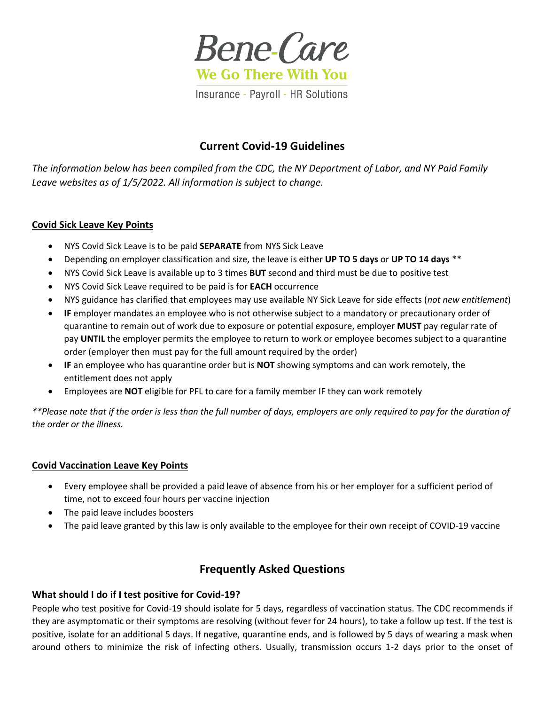

# **Current Covid-19 Guidelines**

*The information below has been compiled from the CDC, the NY Department of Labor, and NY Paid Family Leave websites as of 1/5/2022. All information is subject to change.* 

#### **Covid Sick Leave Key Points**

- NYS Covid Sick Leave is to be paid **SEPARATE** from NYS Sick Leave
- Depending on employer classification and size, the leave is either **UP TO 5 days** or **UP TO 14 days** \*\*
- NYS Covid Sick Leave is available up to 3 times **BUT** second and third must be due to positive test
- NYS Covid Sick Leave required to be paid is for **EACH** occurrence
- NYS guidance has clarified that employees may use available NY Sick Leave for side effects (*not new entitlement*)
- **IF** employer mandates an employee who is not otherwise subject to a mandatory or precautionary order of quarantine to remain out of work due to exposure or potential exposure, employer **MUST** pay regular rate of pay **UNTIL** the employer permits the employee to return to work or employee becomes subject to a quarantine order (employer then must pay for the full amount required by the order)
- **IF** an employee who has quarantine order but is **NOT** showing symptoms and can work remotely, the entitlement does not apply
- Employees are **NOT** eligible for PFL to care for a family member IF they can work remotely

*\*\*Please note that if the order is less than the full number of days, employers are only required to pay for the duration of the order or the illness.* 

#### **Covid Vaccination Leave Key Points**

- Every employee shall be provided a paid leave of absence from his or her employer for a sufficient period of time, not to exceed four hours per vaccine injection
- The paid leave includes boosters
- The paid leave granted by this law is only available to the employee for their own receipt of COVID-19 vaccine

# **Frequently Asked Questions**

#### **What should I do if I test positive for Covid-19?**

People who test positive for Covid-19 should isolate for 5 days, regardless of vaccination status. The CDC recommends if they are asymptomatic or their symptoms are resolving (without fever for 24 hours), to take a follow up test. If the test is positive, isolate for an additional 5 days. If negative, quarantine ends, and is followed by 5 days of wearing a mask when around others to minimize the risk of infecting others. Usually, transmission occurs 1-2 days prior to the onset of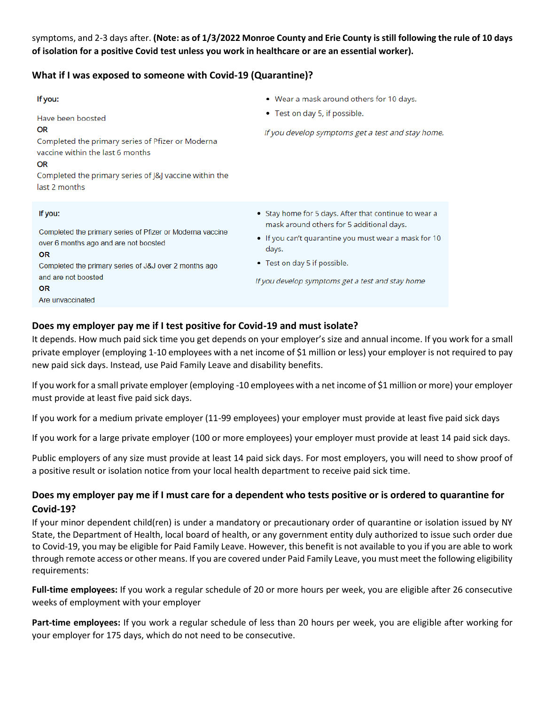symptoms, and 2-3 days after. **(Note: as of 1/3/2022 Monroe County and Erie County is still following the rule of 10 days of isolation for a positive Covid test unless you work in healthcare or are an essential worker).** 

## **What if I was exposed to someone with Covid-19 (Quarantine)?**

| If you:<br>Have been boosted<br>OR<br>Completed the primary series of Pfizer or Moderna<br>vaccine within the last 6 months<br><b>OR</b><br>Completed the primary series of J&J vaccine within the<br>last 2 months                  | • Wear a mask around others for 10 days.<br>• Test on day 5, if possible.<br>If you develop symptoms get a test and stay home.                                                                                                                           |
|--------------------------------------------------------------------------------------------------------------------------------------------------------------------------------------------------------------------------------------|----------------------------------------------------------------------------------------------------------------------------------------------------------------------------------------------------------------------------------------------------------|
| If you:<br>Completed the primary series of Pfizer or Moderna vaccine<br>over 6 months ago and are not boosted<br><b>OR</b><br>Completed the primary series of J&J over 2 months ago<br>and are not boosted<br>OR<br>Are unvaccinated | • Stay home for 5 days. After that continue to wear a<br>mask around others for 5 additional days.<br>• If you can't quarantine you must wear a mask for 10<br>days.<br>• Test on day 5 if possible.<br>If you develop symptoms get a test and stay home |

# **Does my employer pay me if I test positive for Covid-19 and must isolate?**

It depends. How much paid sick time you get depends on your employer's size and annual income. If you work for a small private employer (employing 1-10 employees with a net income of \$1 million or less) your employer is not required to pay new paid sick days. Instead, use Paid Family Leave and disability benefits.

If you work for a small private employer (employing -10 employees with a net income of \$1 million or more) your employer must provide at least five paid sick days.

If you work for a medium private employer (11-99 employees) your employer must provide at least five paid sick days

If you work for a large private employer (100 or more employees) your employer must provide at least 14 paid sick days.

Public employers of any size must provide at least 14 paid sick days. For most employers, you will need to show proof of a positive result or isolation notice from your local health department to receive paid sick time.

# **Does my employer pay me if I must care for a dependent who tests positive or is ordered to quarantine for Covid-19?**

If your minor dependent child(ren) is under a mandatory or precautionary order of quarantine or isolation issued by NY State, the Department of Health, local board of health, or any government entity duly authorized to issue such order due to Covid-19, you may be eligible for Paid Family Leave. However, this benefit is not available to you if you are able to work through remote access or other means. If you are covered under Paid Family Leave, you must meet the following eligibility requirements:

**Full-time employees:** If you work a regular schedule of 20 or more hours per week, you are eligible after 26 consecutive weeks of employment with your employer

**Part-time employees:** If you work a regular schedule of less than 20 hours per week, you are eligible after working for your employer for 175 days, which do not need to be consecutive.